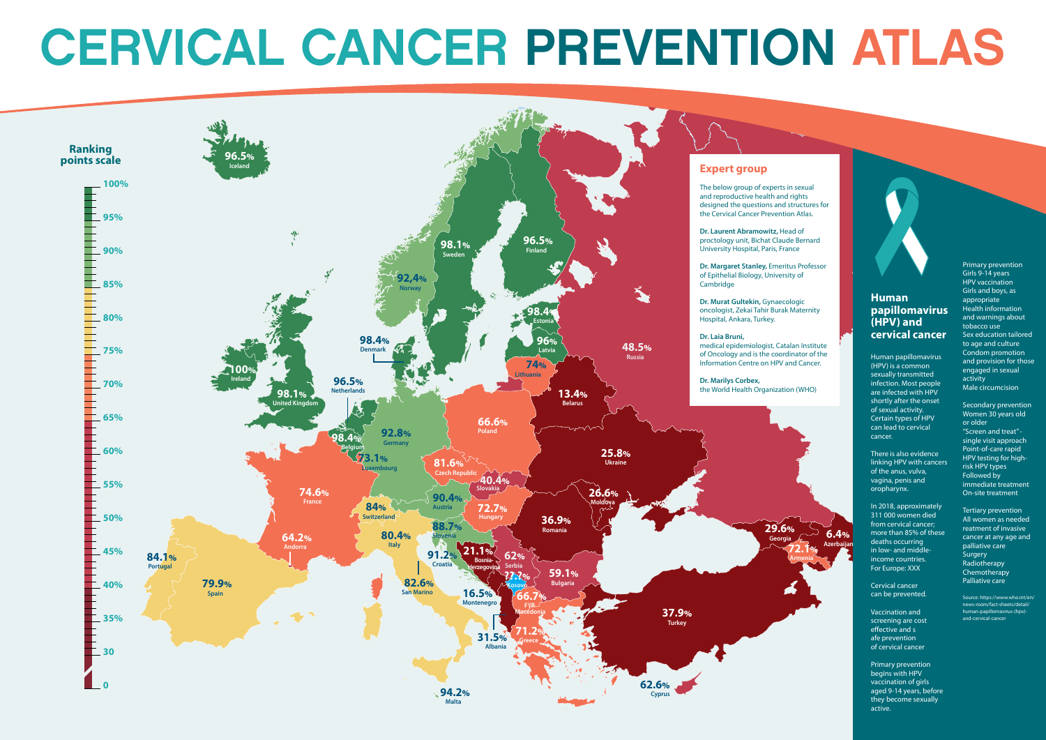## CERVICAL CANCER PREVENTION ATLAS

**39** Cervical cancer can be prevented.

**64** screening are cost **74** of cervical cancer Vaccination and effective and s afe prevention

**84** begins with HPV **94** they become sexually Primary prevention vaccination of girls aged 9-14 years, before active.

## **Human papillomavirus (HPV) and cervical cancer**





Human papillomavirus (HPV) is a common sexually transmitted infection. Most people are infected with HPV shortly after the onset of sexual activity. Certain types of HPV can lead to cervical cancer.

There is also evidence linking HPV with cancers of the anus, vulva, vagina, penis and oropharynx.

In 2018, approximately 311 000 women died from cervical cancer; more than 85% of these deaths occurring in low- and middle income countries. For Europe: XXX

Primary prevention Girls 9-14 years HPV vaccination Girls and boys, as appropriate Health information and warnings about tobacco use Sex education tailored to age and culture Condom promotion and provision for those engaged in sexual activity Male circumcision

Secondary prevention Women 30 years old or older "Screen and treat" single visit approach Point-of-care rapid HPV testing for highrisk HPV types Followed by immediate treatment On-site treatment

Tertiary prevention All women as needed reatment of invasive cancer at any age and palliative care Surgery **Radiotherapy** Chemotherapy Palliative care

Source: https://www.who.int/en/ news-room/fact-sheets/detail/ human-papillomavirus-(hpv) and-cervical-cancer